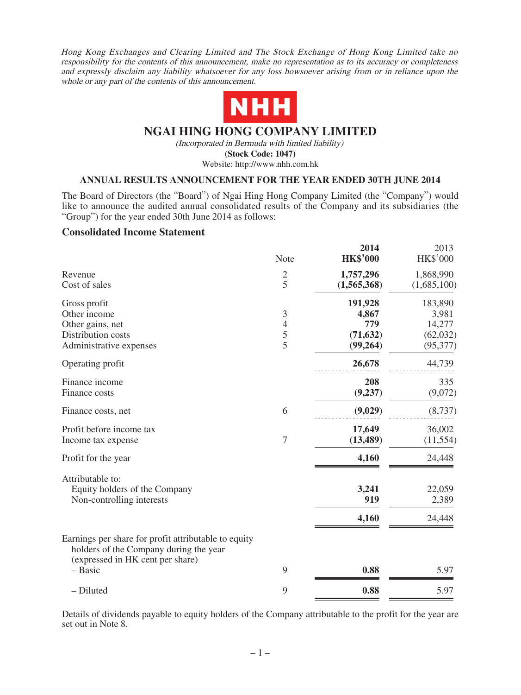Hong Kong Exchanges and Clearing Limited and The Stock Exchange of Hong Kong Limited take no responsibility for the contents of this announcement, make no representation as to its accuracy or completeness and expressly disclaim any liability whatsoever for any loss howsoever arising from or in reliance upon the whole or any part of the contents of this announcement.



## **NGAI HING HONG COMPANY LIMITED**

(Incorporated in Bermuda with limited liability)

**(Stock Code: 1047)**

Website: http://www.nhh.com.hk

### **ANNUAL RESULTS ANNOUNCEMENT FOR THE YEAR ENDED 30TH JUNE 2014**

The Board of Directors (the "Board") of Ngai Hing Hong Company Limited (the "Company") would like to announce the audited annual consolidated results of the Company and its subsidiaries (the "Group") for the year ended 30th June 2014 as follows:

### **Consolidated Income Statement**

|                                                                                                                                               | Note                                       | 2014<br><b>HK\$'000</b>                                    | 2013<br><b>HK\$'000</b>                                       |
|-----------------------------------------------------------------------------------------------------------------------------------------------|--------------------------------------------|------------------------------------------------------------|---------------------------------------------------------------|
| Revenue<br>Cost of sales                                                                                                                      | $\overline{2}$<br>5                        | 1,757,296<br>(1,565,368)                                   | 1,868,990<br>(1,685,100)                                      |
| Gross profit<br>Other income<br>Other gains, net<br>Distribution costs<br>Administrative expenses<br>Operating profit                         | $\mathfrak{Z}$<br>$\overline{4}$<br>5<br>5 | 191,928<br>4,867<br>779<br>(71, 632)<br>(99,264)<br>26,678 | 183,890<br>3,981<br>14,277<br>(62,032)<br>(95, 377)<br>44,739 |
| Finance income<br>Finance costs                                                                                                               |                                            | 208<br>(9, 237)                                            | 335<br>(9,072)                                                |
| Finance costs, net                                                                                                                            | 6                                          | (9,029)                                                    | (8,737)                                                       |
| Profit before income tax<br>Income tax expense                                                                                                | $\overline{7}$                             | 17,649<br>(13, 489)                                        | 36,002<br>(11, 554)                                           |
| Profit for the year                                                                                                                           |                                            | 4,160                                                      | 24,448                                                        |
| Attributable to:<br>Equity holders of the Company<br>Non-controlling interests                                                                |                                            | 3,241<br>919<br>4,160                                      | 22,059<br>2,389<br>24,448                                     |
| Earnings per share for profit attributable to equity<br>holders of the Company during the year<br>(expressed in HK cent per share)<br>- Basic | 9                                          | 0.88                                                       | 5.97                                                          |
| - Diluted                                                                                                                                     | 9                                          | 0.88                                                       | 5.97                                                          |
|                                                                                                                                               |                                            |                                                            |                                                               |

Details of dividends payable to equity holders of the Company attributable to the profit for the year are set out in Note 8.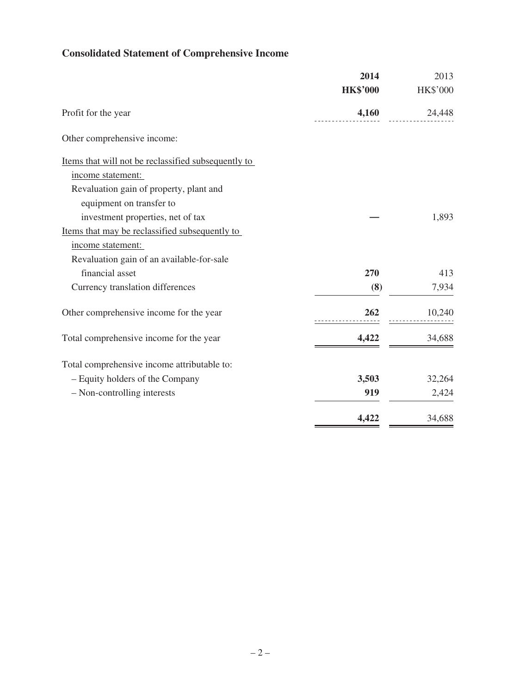# **Consolidated Statement of Comprehensive Income**

|                                                     | 2014            | 2013     |
|-----------------------------------------------------|-----------------|----------|
|                                                     | <b>HK\$'000</b> | HK\$'000 |
| Profit for the year                                 | 4,160           | 24,448   |
| Other comprehensive income:                         |                 |          |
| Items that will not be reclassified subsequently to |                 |          |
| income statement:                                   |                 |          |
| Revaluation gain of property, plant and             |                 |          |
| equipment on transfer to                            |                 |          |
| investment properties, net of tax                   |                 | 1,893    |
| Items that may be reclassified subsequently to      |                 |          |
| income statement:                                   |                 |          |
| Revaluation gain of an available-for-sale           |                 |          |
| financial asset                                     | 270             | 413      |
| Currency translation differences                    | (8)             | 7,934    |
| Other comprehensive income for the year             | 262             | 10,240   |
| Total comprehensive income for the year             | 4,422           | 34,688   |
| Total comprehensive income attributable to:         |                 |          |
| - Equity holders of the Company                     | 3,503           | 32,264   |
| - Non-controlling interests                         | 919             | 2,424    |
|                                                     | 4,422           | 34,688   |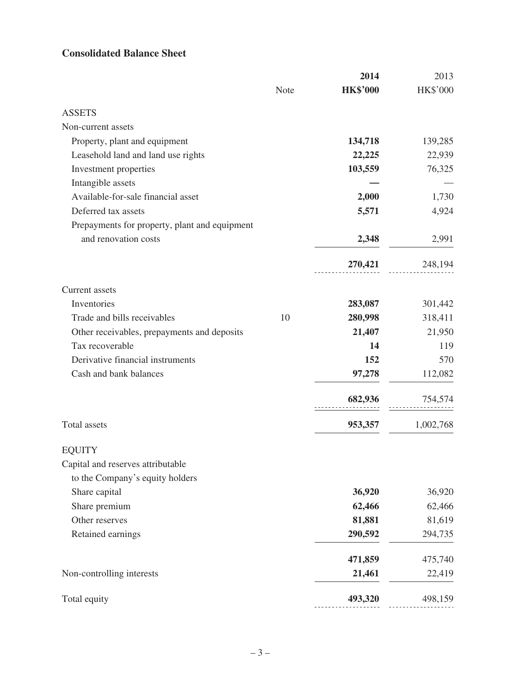# **Consolidated Balance Sheet**

|                                               |      | 2014            | 2013      |
|-----------------------------------------------|------|-----------------|-----------|
|                                               | Note | <b>HK\$'000</b> | HK\$'000  |
| <b>ASSETS</b>                                 |      |                 |           |
| Non-current assets                            |      |                 |           |
| Property, plant and equipment                 |      | 134,718         | 139,285   |
| Leasehold land and land use rights            |      | 22,225          | 22,939    |
| Investment properties                         |      | 103,559         | 76,325    |
| Intangible assets                             |      |                 |           |
| Available-for-sale financial asset            |      | 2,000           | 1,730     |
| Deferred tax assets                           |      | 5,571           | 4,924     |
| Prepayments for property, plant and equipment |      |                 |           |
| and renovation costs                          |      | 2,348           | 2,991     |
|                                               |      | 270,421         | 248,194   |
| Current assets                                |      |                 |           |
| Inventories                                   |      | 283,087         | 301,442   |
| Trade and bills receivables                   | 10   | 280,998         | 318,411   |
| Other receivables, prepayments and deposits   |      | 21,407          | 21,950    |
| Tax recoverable                               |      | 14              | 119       |
| Derivative financial instruments              |      | 152             | 570       |
| Cash and bank balances                        |      | 97,278          | 112,082   |
|                                               |      | 682,936         | 754,574   |
|                                               |      |                 |           |
| Total assets                                  |      | 953,357         | 1,002,768 |
| <b>EQUITY</b>                                 |      |                 |           |
| Capital and reserves attributable             |      |                 |           |
| to the Company's equity holders               |      |                 |           |
| Share capital                                 |      | 36,920          | 36,920    |
| Share premium                                 |      | 62,466          | 62,466    |
| Other reserves                                |      | 81,881          | 81,619    |
| Retained earnings                             |      | 290,592         | 294,735   |
|                                               |      | 471,859         | 475,740   |
| Non-controlling interests                     |      | 21,461          | 22,419    |
| Total equity                                  |      | 493,320         | 498,159   |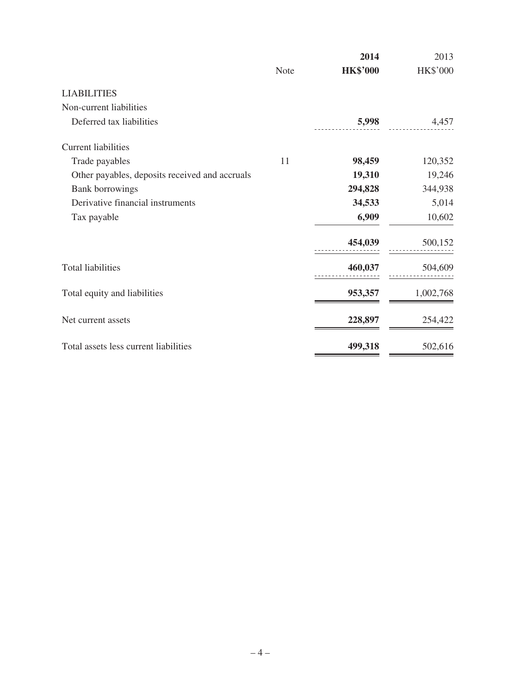|                                                |             | 2014            | 2013      |
|------------------------------------------------|-------------|-----------------|-----------|
|                                                | <b>Note</b> | <b>HK\$'000</b> | HK\$'000  |
| <b>LIABILITIES</b>                             |             |                 |           |
| Non-current liabilities                        |             |                 |           |
| Deferred tax liabilities                       |             | 5,998           | 4,457     |
| <b>Current liabilities</b>                     |             |                 |           |
| Trade payables                                 | 11          | 98,459          | 120,352   |
| Other payables, deposits received and accruals |             | 19,310          | 19,246    |
| <b>Bank borrowings</b>                         |             | 294,828         | 344,938   |
| Derivative financial instruments               |             | 34,533          | 5,014     |
| Tax payable                                    |             | 6,909           | 10,602    |
|                                                |             | 454,039         | 500,152   |
| <b>Total liabilities</b>                       |             | 460,037         | 504,609   |
| Total equity and liabilities                   |             | 953,357         | 1,002,768 |
| Net current assets                             |             | 228,897         | 254,422   |
| Total assets less current liabilities          |             | 499,318         | 502,616   |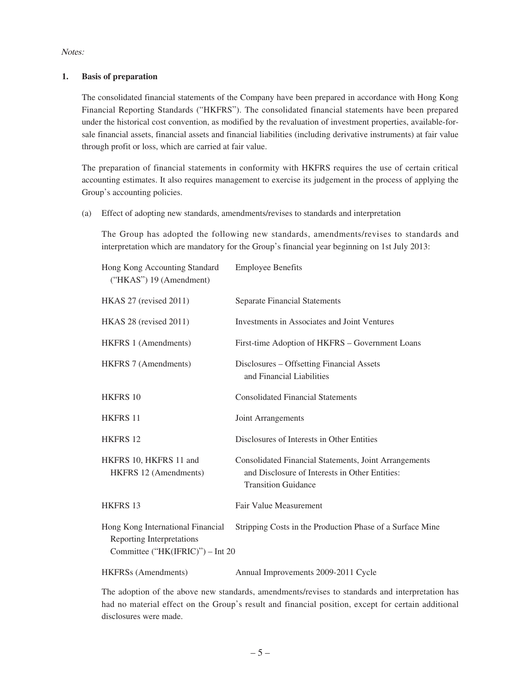Notes:

### **1. Basis of preparation**

The consolidated financial statements of the Company have been prepared in accordance with Hong Kong Financial Reporting Standards ("HKFRS"). The consolidated financial statements have been prepared under the historical cost convention, as modified by the revaluation of investment properties, available-forsale financial assets, financial assets and financial liabilities (including derivative instruments) at fair value through profit or loss, which are carried at fair value.

The preparation of financial statements in conformity with HKFRS requires the use of certain critical accounting estimates. It also requires management to exercise its judgement in the process of applying the Group's accounting policies.

(a) Effect of adopting new standards, amendments/revises to standards and interpretation

The Group has adopted the following new standards, amendments/revises to standards and interpretation which are mandatory for the Group's financial year beginning on 1st July 2013:

| Hong Kong Accounting Standard<br>("HKAS") 19 (Amendment)                                           | <b>Employee Benefits</b>                                                                                                              |
|----------------------------------------------------------------------------------------------------|---------------------------------------------------------------------------------------------------------------------------------------|
| HKAS 27 (revised 2011)                                                                             | <b>Separate Financial Statements</b>                                                                                                  |
| HKAS 28 (revised 2011)                                                                             | Investments in Associates and Joint Ventures                                                                                          |
| HKFRS 1 (Amendments)                                                                               | First-time Adoption of HKFRS - Government Loans                                                                                       |
| HKFRS 7 (Amendments)                                                                               | Disclosures - Offsetting Financial Assets<br>and Financial Liabilities                                                                |
| <b>HKFRS 10</b>                                                                                    | <b>Consolidated Financial Statements</b>                                                                                              |
| <b>HKFRS 11</b>                                                                                    | Joint Arrangements                                                                                                                    |
| <b>HKFRS 12</b>                                                                                    | Disclosures of Interests in Other Entities                                                                                            |
| HKFRS 10, HKFRS 11 and<br>HKFRS 12 (Amendments)                                                    | Consolidated Financial Statements, Joint Arrangements<br>and Disclosure of Interests in Other Entities:<br><b>Transition Guidance</b> |
| <b>HKFRS 13</b>                                                                                    | Fair Value Measurement                                                                                                                |
| Hong Kong International Financial<br>Reporting Interpretations<br>Committee ("HK(IFRIC)") – Int 20 | Stripping Costs in the Production Phase of a Surface Mine                                                                             |
| <b>HKFRSs</b> (Amendments)                                                                         | Annual Improvements 2009-2011 Cycle                                                                                                   |

The adoption of the above new standards, amendments/revises to standards and interpretation has had no material effect on the Group's result and financial position, except for certain additional disclosures were made.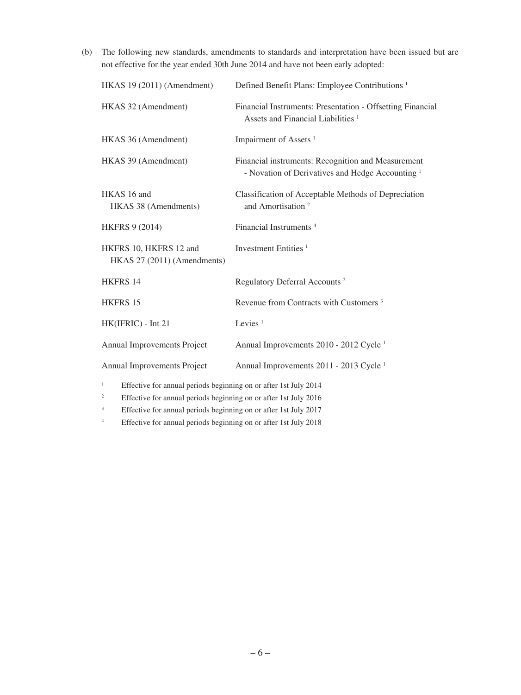(b) The following new standards, amendments to standards and interpretation have been issued but are not effective for the year ended 30th June 2014 and have not been early adopted:

| HKAS 19 (2011) (Amendment)                                                                                                                                    | Defined Benefit Plans: Employee Contributions <sup>1</sup>                                                        |
|---------------------------------------------------------------------------------------------------------------------------------------------------------------|-------------------------------------------------------------------------------------------------------------------|
| HKAS 32 (Amendment)                                                                                                                                           | Financial Instruments: Presentation - Offsetting Financial<br>Assets and Financial Liabilities <sup>1</sup>       |
| HKAS 36 (Amendment)                                                                                                                                           | Impairment of Assets <sup>1</sup>                                                                                 |
| HKAS 39 (Amendment)                                                                                                                                           | Financial instruments: Recognition and Measurement<br>- Novation of Derivatives and Hedge Accounting <sup>1</sup> |
| HKAS 16 and<br>HKAS 38 (Amendments)                                                                                                                           | Classification of Acceptable Methods of Depreciation<br>and Amortisation <sup>2</sup>                             |
| <b>HKFRS 9 (2014)</b>                                                                                                                                         | Financial Instruments <sup>4</sup>                                                                                |
| HKFRS 10, HKFRS 12 and<br>HKAS 27 (2011) (Amendments)                                                                                                         | Investment Entities <sup>1</sup>                                                                                  |
| <b>HKFRS 14</b>                                                                                                                                               | Regulatory Deferral Accounts <sup>2</sup>                                                                         |
| <b>HKFRS 15</b>                                                                                                                                               | Revenue from Contracts with Customers <sup>3</sup>                                                                |
| HK(IFRIC) - Int 21                                                                                                                                            | Levies $1$                                                                                                        |
| Annual Improvements Project                                                                                                                                   | Annual Improvements 2010 - 2012 Cycle <sup>1</sup>                                                                |
| Annual Improvements Project                                                                                                                                   | Annual Improvements 2011 - 2013 Cycle <sup>1</sup>                                                                |
| $\mathbf{1}$<br>Effective for annual periods beginning on or after 1st July 2014<br>$\,2$<br>Effective for annual periods beginning on or after 1st July 2016 |                                                                                                                   |

<sup>3</sup> Effective for annual periods beginning on or after 1st July 2017

<sup>4</sup> Effective for annual periods beginning on or after 1st July 2018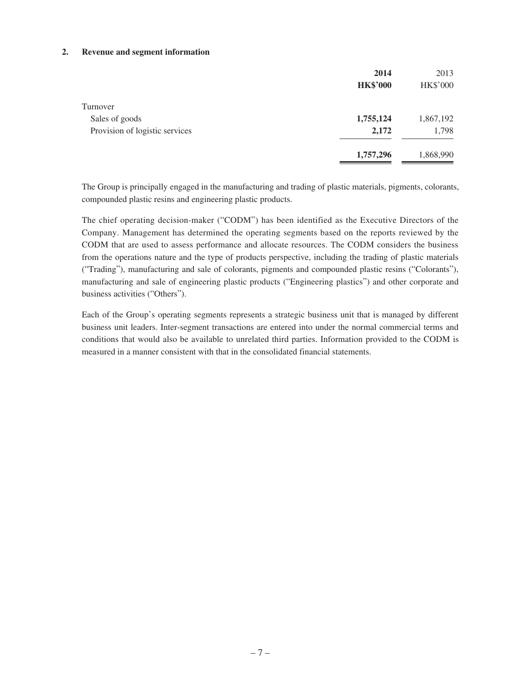#### **2. Revenue and segment information**

|                                | 2014            | 2013            |
|--------------------------------|-----------------|-----------------|
|                                | <b>HK\$'000</b> | <b>HK\$'000</b> |
| Turnover                       |                 |                 |
| Sales of goods                 | 1,755,124       | 1,867,192       |
| Provision of logistic services | 2,172           | 1,798           |
|                                | 1,757,296       | 1,868,990       |

The Group is principally engaged in the manufacturing and trading of plastic materials, pigments, colorants, compounded plastic resins and engineering plastic products.

The chief operating decision-maker ("CODM") has been identified as the Executive Directors of the Company. Management has determined the operating segments based on the reports reviewed by the CODM that are used to assess performance and allocate resources. The CODM considers the business from the operations nature and the type of products perspective, including the trading of plastic materials ("Trading"), manufacturing and sale of colorants, pigments and compounded plastic resins ("Colorants"), manufacturing and sale of engineering plastic products ("Engineering plastics") and other corporate and business activities ("Others").

Each of the Group's operating segments represents a strategic business unit that is managed by different business unit leaders. Inter-segment transactions are entered into under the normal commercial terms and conditions that would also be available to unrelated third parties. Information provided to the CODM is measured in a manner consistent with that in the consolidated financial statements.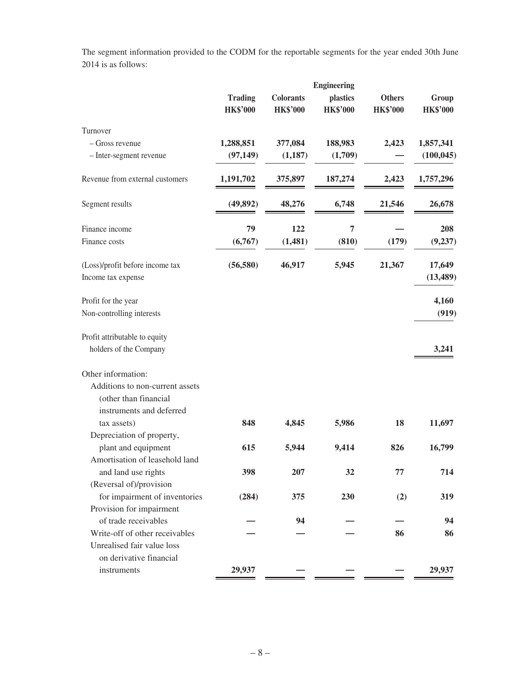The segment information provided to the CODM for the reportable segments for the year ended 30th June 2014 is as follows:

|                                 | <b>Engineering</b> |                  |                 |                 |                 |  |
|---------------------------------|--------------------|------------------|-----------------|-----------------|-----------------|--|
|                                 | <b>Trading</b>     | <b>Colorants</b> | plastics        | <b>Others</b>   | Group           |  |
|                                 | <b>HK\$'000</b>    | <b>HK\$'000</b>  | <b>HK\$'000</b> | <b>HK\$'000</b> | <b>HK\$'000</b> |  |
| Turnover                        |                    |                  |                 |                 |                 |  |
| - Gross revenue                 | 1,288,851          | 377,084          | 188,983         | 2,423           | 1,857,341       |  |
| - Inter-segment revenue         | (97, 149)          | (1,187)          | (1,709)         |                 | (100, 045)      |  |
| Revenue from external customers | 1,191,702          | 375,897          | 187,274         | 2,423           | 1,757,296       |  |
| Segment results                 | (49, 892)          | 48,276           | 6,748           | 21,546          | 26,678          |  |
| Finance income                  | 79                 | 122              | 7               |                 | 208             |  |
| Finance costs                   | (6,767)            | (1,481)          | (810)           | (179)           | (9, 237)        |  |
| (Loss)/profit before income tax | (56, 580)          | 46,917           | 5,945           | 21,367          | 17,649          |  |
| Income tax expense              |                    |                  |                 |                 | (13, 489)       |  |
| Profit for the year             |                    |                  |                 |                 | 4,160           |  |
| Non-controlling interests       |                    |                  |                 |                 | (919)           |  |
| Profit attributable to equity   |                    |                  |                 |                 |                 |  |
| holders of the Company          |                    |                  |                 |                 | 3,241           |  |
| Other information:              |                    |                  |                 |                 |                 |  |
| Additions to non-current assets |                    |                  |                 |                 |                 |  |
| (other than financial           |                    |                  |                 |                 |                 |  |
| instruments and deferred        |                    |                  |                 |                 |                 |  |
| tax assets)                     | 848                | 4,845            | 5,986           | 18              | 11,697          |  |
| Depreciation of property,       |                    |                  |                 |                 |                 |  |
| plant and equipment             | 615                | 5,944            | 9,414           | 826             | 16,799          |  |
| Amortisation of leasehold land  |                    |                  |                 |                 |                 |  |
| and land use rights             | 398                | 207              | 32              | 77              | 714             |  |
| (Reversal of)/provision         |                    |                  |                 |                 |                 |  |
| for impairment of inventories   | (284)              | 375              | 230             | (2)             | 319             |  |
| Provision for impairment        |                    |                  |                 |                 |                 |  |
| of trade receivables            |                    | 94               |                 |                 | 94              |  |
| Write-off of other receivables  |                    |                  |                 | 86              | 86              |  |
| Unrealised fair value loss      |                    |                  |                 |                 |                 |  |
| on derivative financial         |                    |                  |                 |                 |                 |  |
| instruments                     | 29,937             |                  |                 |                 | 29,937          |  |
|                                 |                    |                  |                 |                 |                 |  |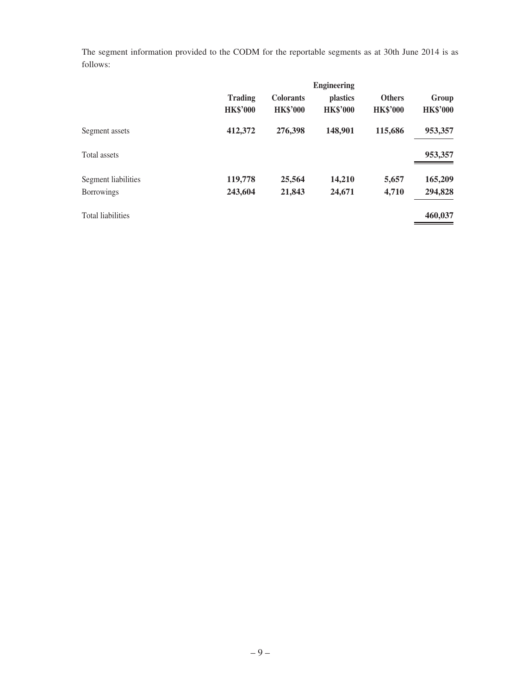The segment information provided to the CODM for the reportable segments as at 30th June 2014 is as follows:

|                          | <b>Engineering</b>                |                                     |                             |                                  |                          |
|--------------------------|-----------------------------------|-------------------------------------|-----------------------------|----------------------------------|--------------------------|
|                          | <b>Trading</b><br><b>HK\$'000</b> | <b>Colorants</b><br><b>HK\$'000</b> | plastics<br><b>HK\$'000</b> | <b>Others</b><br><b>HK\$'000</b> | Group<br><b>HK\$'000</b> |
| Segment assets           | 412,372                           | 276,398                             | 148,901                     | 115,686                          | 953,357                  |
| Total assets             |                                   |                                     |                             |                                  | 953,357                  |
| Segment liabilities      | 119,778                           | 25,564                              | 14,210                      | 5,657                            | 165,209                  |
| <b>Borrowings</b>        | 243,604                           | 21,843                              | 24,671                      | 4,710                            | 294,828                  |
| <b>Total liabilities</b> |                                   |                                     |                             |                                  | 460,037                  |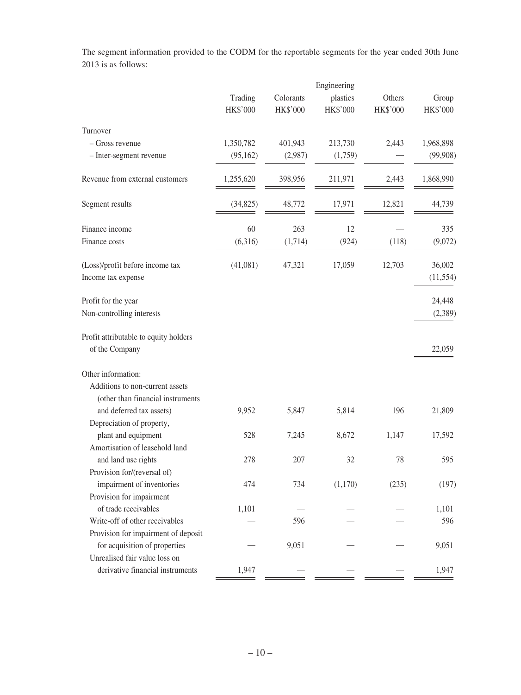The segment information provided to the CODM for the reportable segments for the year ended 30th June 2013 is as follows:

|                                                       |           |           | Engineering |          |           |
|-------------------------------------------------------|-----------|-----------|-------------|----------|-----------|
|                                                       | Trading   | Colorants | plastics    | Others   | Group     |
|                                                       | HK\$'000  | HK\$'000  | HK\$'000    | HK\$'000 | HK\$'000  |
| Turnover                                              |           |           |             |          |           |
| - Gross revenue                                       | 1,350,782 | 401,943   | 213,730     | 2,443    | 1,968,898 |
| - Inter-segment revenue                               | (95, 162) | (2,987)   | (1,759)     |          | (99, 908) |
| Revenue from external customers                       | 1,255,620 | 398,956   | 211,971     | 2,443    | 1,868,990 |
| Segment results                                       | (34, 825) | 48,772    | 17,971      | 12,821   | 44,739    |
| Finance income                                        | 60        | 263       | 12          |          | 335       |
| Finance costs                                         | (6,316)   | (1,714)   | (924)       | (118)    | (9,072)   |
| (Loss)/profit before income tax                       | (41,081)  | 47,321    | 17,059      | 12,703   | 36,002    |
| Income tax expense                                    |           |           |             |          | (11, 554) |
| Profit for the year                                   |           |           |             |          | 24,448    |
| Non-controlling interests                             |           |           |             |          | (2,389)   |
| Profit attributable to equity holders                 |           |           |             |          |           |
| of the Company                                        |           |           |             |          | 22,059    |
| Other information:                                    |           |           |             |          |           |
| Additions to non-current assets                       |           |           |             |          |           |
| (other than financial instruments                     |           |           |             |          |           |
| and deferred tax assets)                              | 9,952     | 5,847     | 5,814       | 196      | 21,809    |
| Depreciation of property,                             |           |           |             |          |           |
| plant and equipment<br>Amortisation of leasehold land | 528       | 7,245     | 8,672       | 1,147    | 17,592    |
| and land use rights                                   | 278       | 207       | 32          | 78       | 595       |
| Provision for/(reversal of)                           |           |           |             |          |           |
| impairment of inventories                             | 474       | 734       | (1,170)     | (235)    | (197)     |
| Provision for impairment                              |           |           |             |          |           |
| of trade receivables                                  | 1,101     |           |             |          | 1,101     |
| Write-off of other receivables                        |           | 596       |             |          | 596       |
| Provision for impairment of deposit                   |           |           |             |          |           |
| for acquisition of properties                         |           | 9,051     |             |          | 9,051     |
| Unrealised fair value loss on                         |           |           |             |          |           |
| derivative financial instruments                      | 1,947     |           |             |          | 1,947     |
|                                                       |           |           |             |          |           |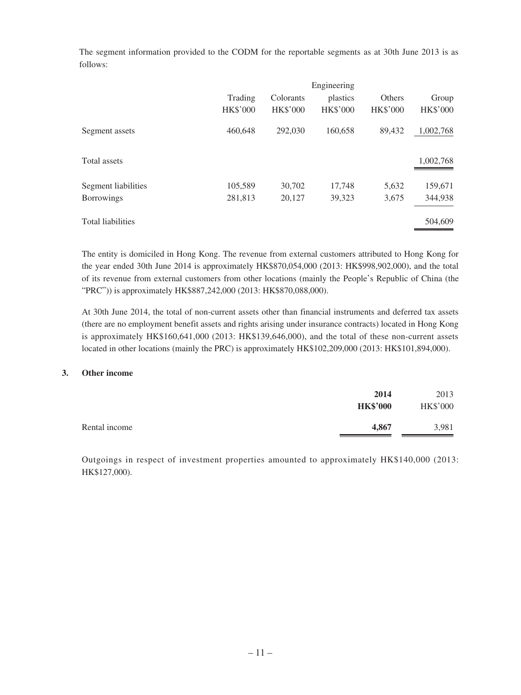The segment information provided to the CODM for the reportable segments as at 30th June 2013 is as follows:

|                          | Engineering     |                 |                 |                 |                 |
|--------------------------|-----------------|-----------------|-----------------|-----------------|-----------------|
|                          | Trading         | Colorants       | plastics        | Others          | Group           |
|                          | <b>HK\$'000</b> | <b>HK\$'000</b> | <b>HK\$'000</b> | <b>HK\$'000</b> | <b>HK\$'000</b> |
| Segment assets           | 460,648         | 292,030         | 160,658         | 89,432          | 1,002,768       |
| Total assets             |                 |                 |                 |                 | 1,002,768       |
| Segment liabilities      | 105,589         | 30,702          | 17,748          | 5,632           | 159,671         |
| <b>Borrowings</b>        | 281,813         | 20,127          | 39,323          | 3,675           | 344,938         |
| <b>Total liabilities</b> |                 |                 |                 |                 | 504,609         |

The entity is domiciled in Hong Kong. The revenue from external customers attributed to Hong Kong for the year ended 30th June 2014 is approximately HK\$870,054,000 (2013: HK\$998,902,000), and the total of its revenue from external customers from other locations (mainly the People's Republic of China (the "PRC")) is approximately HK\$887,242,000 (2013: HK\$870,088,000).

At 30th June 2014, the total of non-current assets other than financial instruments and deferred tax assets (there are no employment benefit assets and rights arising under insurance contracts) located in Hong Kong is approximately HK\$160,641,000 (2013: HK\$139,646,000), and the total of these non-current assets located in other locations (mainly the PRC) is approximately HK\$102,209,000 (2013: HK\$101,894,000).

#### **3. Other income**

|               | 2014<br><b>HK\$'000</b> | 2013<br><b>HK\$'000</b> |
|---------------|-------------------------|-------------------------|
| Rental income | 4,867                   | 3,981                   |

Outgoings in respect of investment properties amounted to approximately HK\$140,000 (2013: HK\$127,000).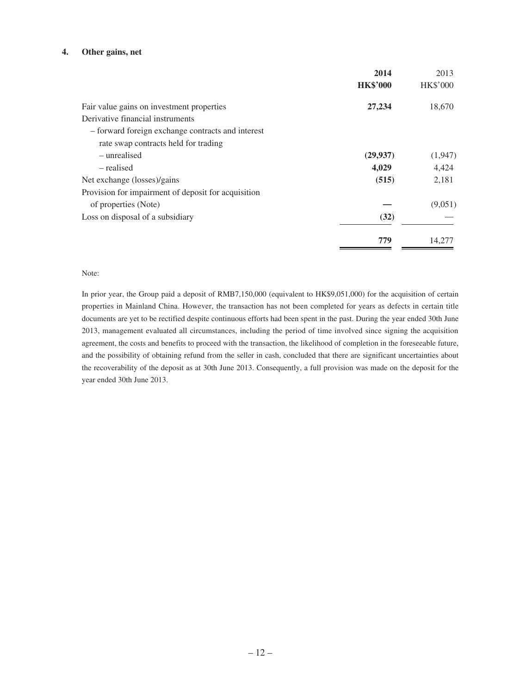#### **4. Other gains, net**

|                                                     | 2014            | 2013            |
|-----------------------------------------------------|-----------------|-----------------|
|                                                     | <b>HK\$'000</b> | <b>HK\$'000</b> |
| Fair value gains on investment properties           | 27,234          | 18,670          |
| Derivative financial instruments                    |                 |                 |
| - forward foreign exchange contracts and interest   |                 |                 |
| rate swap contracts held for trading                |                 |                 |
| – unrealised                                        | (29, 937)       | (1,947)         |
| – realised                                          | 4,029           | 4,424           |
| Net exchange (losses)/gains                         | (515)           | 2,181           |
| Provision for impairment of deposit for acquisition |                 |                 |
| of properties (Note)                                |                 | (9,051)         |
| Loss on disposal of a subsidiary                    | (32)            |                 |
|                                                     | 779             | 14.277          |

#### Note:

In prior year, the Group paid a deposit of RMB7,150,000 (equivalent to HK\$9,051,000) for the acquisition of certain properties in Mainland China. However, the transaction has not been completed for years as defects in certain title documents are yet to be rectified despite continuous efforts had been spent in the past. During the year ended 30th June 2013, management evaluated all circumstances, including the period of time involved since signing the acquisition agreement, the costs and benefits to proceed with the transaction, the likelihood of completion in the foreseeable future, and the possibility of obtaining refund from the seller in cash, concluded that there are significant uncertainties about the recoverability of the deposit as at 30th June 2013. Consequently, a full provision was made on the deposit for the year ended 30th June 2013.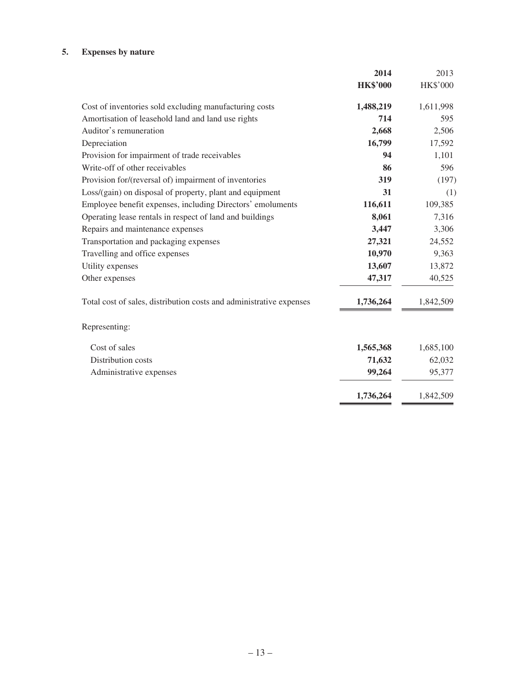## **5. Expenses by nature**

|                                                                     | 2014            | 2013            |
|---------------------------------------------------------------------|-----------------|-----------------|
|                                                                     | <b>HK\$'000</b> | <b>HK\$'000</b> |
| Cost of inventories sold excluding manufacturing costs              | 1,488,219       | 1,611,998       |
| Amortisation of leasehold land and land use rights                  | 714             | 595             |
| Auditor's remuneration                                              | 2,668           | 2,506           |
| Depreciation                                                        | 16,799          | 17,592          |
| Provision for impairment of trade receivables                       | 94              | 1,101           |
| Write-off of other receivables                                      | 86              | 596             |
| Provision for/(reversal of) impairment of inventories               | 319             | (197)           |
| Loss/(gain) on disposal of property, plant and equipment            | 31              | (1)             |
| Employee benefit expenses, including Directors' emoluments          | 116,611         | 109,385         |
| Operating lease rentals in respect of land and buildings            | 8,061           | 7,316           |
| Repairs and maintenance expenses                                    | 3,447           | 3,306           |
| Transportation and packaging expenses                               | 27,321          | 24,552          |
| Travelling and office expenses                                      | 10,970          | 9,363           |
| Utility expenses                                                    | 13,607          | 13,872          |
| Other expenses                                                      | 47,317          | 40,525          |
| Total cost of sales, distribution costs and administrative expenses | 1,736,264       | 1,842,509       |
| Representing:                                                       |                 |                 |
| Cost of sales                                                       | 1,565,368       | 1,685,100       |
| Distribution costs                                                  | 71,632          | 62,032          |
| Administrative expenses                                             | 99,264          | 95,377          |
|                                                                     | 1,736,264       | 1,842,509       |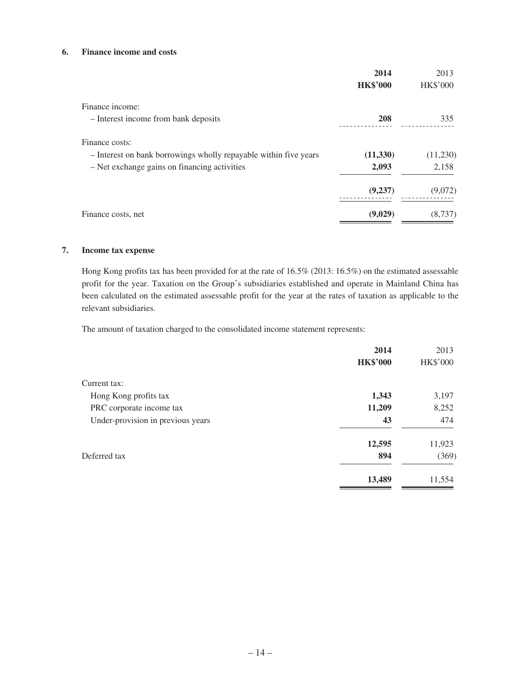#### **6. Finance income and costs**

|                                                                  | 2014            | 2013            |
|------------------------------------------------------------------|-----------------|-----------------|
|                                                                  | <b>HK\$'000</b> | <b>HK\$'000</b> |
| Finance income:                                                  |                 |                 |
| - Interest income from bank deposits                             | 208             | 335             |
| Finance costs:                                                   |                 |                 |
| - Interest on bank borrowings wholly repayable within five years | (11,330)        | (11,230)        |
| - Net exchange gains on financing activities                     | 2,093           | 2,158           |
|                                                                  | (9,237)         | (9,072)         |
| Finance costs, net                                               | (9,029)         | (8,737)         |

#### **7. Income tax expense**

Hong Kong profits tax has been provided for at the rate of 16.5% (2013: 16.5%) on the estimated assessable profit for the year. Taxation on the Group's subsidiaries established and operate in Mainland China has been calculated on the estimated assessable profit for the year at the rates of taxation as applicable to the relevant subsidiaries.

The amount of taxation charged to the consolidated income statement represents:

|                                   | 2014            | 2013            |
|-----------------------------------|-----------------|-----------------|
|                                   | <b>HK\$'000</b> | <b>HK\$'000</b> |
| Current tax:                      |                 |                 |
| Hong Kong profits tax             | 1,343           | 3,197           |
| PRC corporate income tax          | 11,209          | 8,252           |
| Under-provision in previous years | 43              | 474             |
|                                   | 12,595          | 11,923          |
| Deferred tax                      | 894             | (369)           |
|                                   | 13,489          | 11,554          |
|                                   |                 |                 |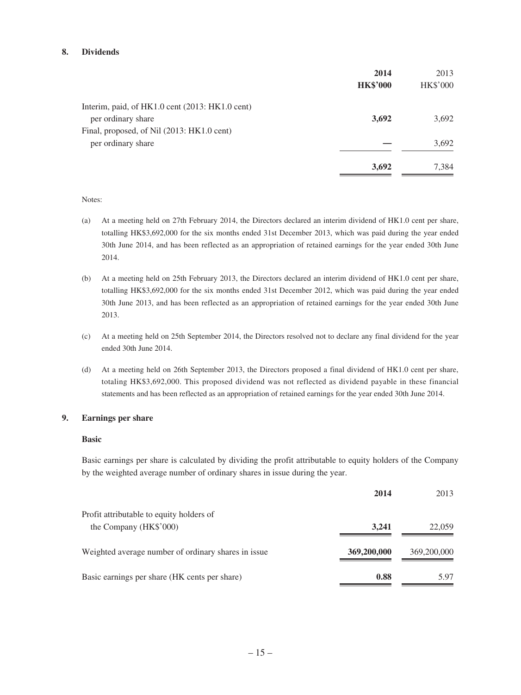#### **8. Dividends**

|                                                 | 2014            | 2013            |
|-------------------------------------------------|-----------------|-----------------|
|                                                 | <b>HK\$'000</b> | <b>HK\$'000</b> |
| Interim, paid, of HK1.0 cent (2013: HK1.0 cent) |                 |                 |
| per ordinary share                              | 3,692           | 3,692           |
| Final, proposed, of Nil (2013: HK1.0 cent)      |                 |                 |
| per ordinary share                              |                 | 3,692           |
|                                                 | 3,692           | 7,384           |

#### Notes:

- (a) At a meeting held on 27th February 2014, the Directors declared an interim dividend of HK1.0 cent per share, totalling HK\$3,692,000 for the six months ended 31st December 2013, which was paid during the year ended 30th June 2014, and has been reflected as an appropriation of retained earnings for the year ended 30th June 2014.
- (b) At a meeting held on 25th February 2013, the Directors declared an interim dividend of HK1.0 cent per share, totalling HK\$3,692,000 for the six months ended 31st December 2012, which was paid during the year ended 30th June 2013, and has been reflected as an appropriation of retained earnings for the year ended 30th June 2013.
- (c) At a meeting held on 25th September 2014, the Directors resolved not to declare any final dividend for the year ended 30th June 2014.
- (d) At a meeting held on 26th September 2013, the Directors proposed a final dividend of HK1.0 cent per share, totaling HK\$3,692,000. This proposed dividend was not reflected as dividend payable in these financial statements and has been reflected as an appropriation of retained earnings for the year ended 30th June 2014.

#### **9. Earnings per share**

#### **Basic**

Basic earnings per share is calculated by dividing the profit attributable to equity holders of the Company by the weighted average number of ordinary shares in issue during the year.

|                                                     | 2014        | 2013        |
|-----------------------------------------------------|-------------|-------------|
| Profit attributable to equity holders of            |             |             |
| the Company (HK\$'000)                              | 3.241       | 22,059      |
| Weighted average number of ordinary shares in issue | 369,200,000 | 369,200,000 |
| Basic earnings per share (HK cents per share)       | 0.88        | 5.97        |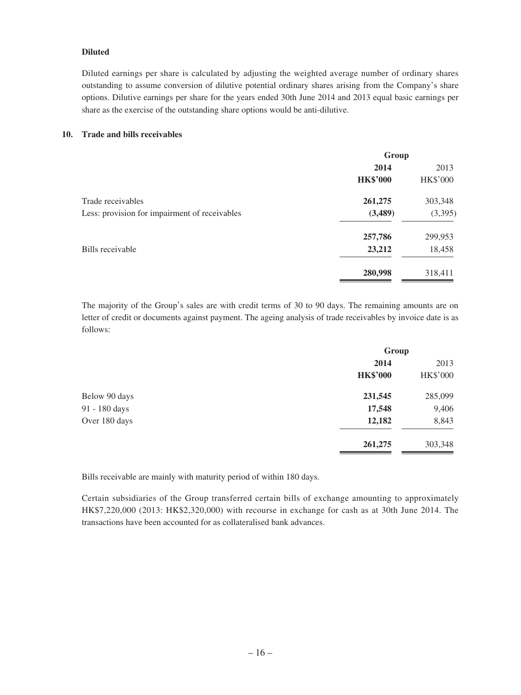### **Diluted**

Diluted earnings per share is calculated by adjusting the weighted average number of ordinary shares outstanding to assume conversion of dilutive potential ordinary shares arising from the Company's share options. Dilutive earnings per share for the years ended 30th June 2014 and 2013 equal basic earnings per share as the exercise of the outstanding share options would be anti-dilutive.

#### **10. Trade and bills receivables**

| Group           |                 |
|-----------------|-----------------|
| 2014            | 2013            |
| <b>HK\$'000</b> | <b>HK\$'000</b> |
| 261,275         | 303,348         |
| (3,489)         | (3, 395)        |
| 257,786         | 299,953         |
| 23,212          | 18,458          |
| 280,998         | 318,411         |
|                 |                 |

The majority of the Group's sales are with credit terms of 30 to 90 days. The remaining amounts are on letter of credit or documents against payment. The ageing analysis of trade receivables by invoice date is as follows:

|               | Group           |                 |
|---------------|-----------------|-----------------|
|               | 2014            | 2013            |
|               | <b>HK\$'000</b> | <b>HK\$'000</b> |
| Below 90 days | 231,545         | 285,099         |
| 91 - 180 days | 17,548          | 9,406           |
| Over 180 days | 12,182          | 8,843           |
|               | 261,275         | 303,348         |

Bills receivable are mainly with maturity period of within 180 days.

Certain subsidiaries of the Group transferred certain bills of exchange amounting to approximately HK\$7,220,000 (2013: HK\$2,320,000) with recourse in exchange for cash as at 30th June 2014. The transactions have been accounted for as collateralised bank advances.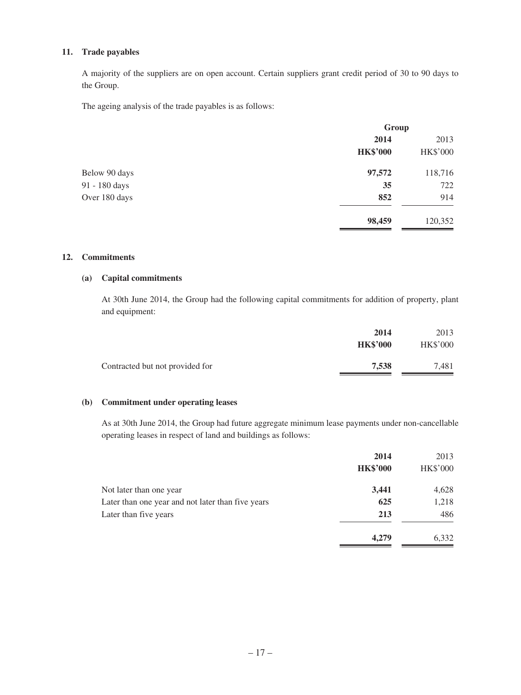### **11. Trade payables**

A majority of the suppliers are on open account. Certain suppliers grant credit period of 30 to 90 days to the Group.

The ageing analysis of the trade payables is as follows:

|               | Group           |                 |
|---------------|-----------------|-----------------|
|               | 2014            | 2013            |
|               | <b>HK\$'000</b> | <b>HK\$'000</b> |
| Below 90 days | 97,572          | 118,716         |
| 91 - 180 days | 35              | 722             |
| Over 180 days | 852             | 914             |
|               | 98,459          | 120,352         |

#### **12. Commitments**

### **(a) Capital commitments**

At 30th June 2014, the Group had the following capital commitments for addition of property, plant and equipment:

|                                 | 2014            | 2013            |
|---------------------------------|-----------------|-----------------|
|                                 | <b>HK\$'000</b> | <b>HK\$'000</b> |
| Contracted but not provided for | 7,538           | 7,481           |
|                                 |                 |                 |

### **(b) Commitment under operating leases**

As at 30th June 2014, the Group had future aggregate minimum lease payments under non-cancellable operating leases in respect of land and buildings as follows:

|                                                   | 2014            | 2013            |
|---------------------------------------------------|-----------------|-----------------|
|                                                   | <b>HK\$'000</b> | <b>HK\$'000</b> |
| Not later than one year                           | 3,441           | 4,628           |
| Later than one year and not later than five years | 625             | 1,218           |
| Later than five years                             | 213             | 486             |
|                                                   | 4,279           | 6,332           |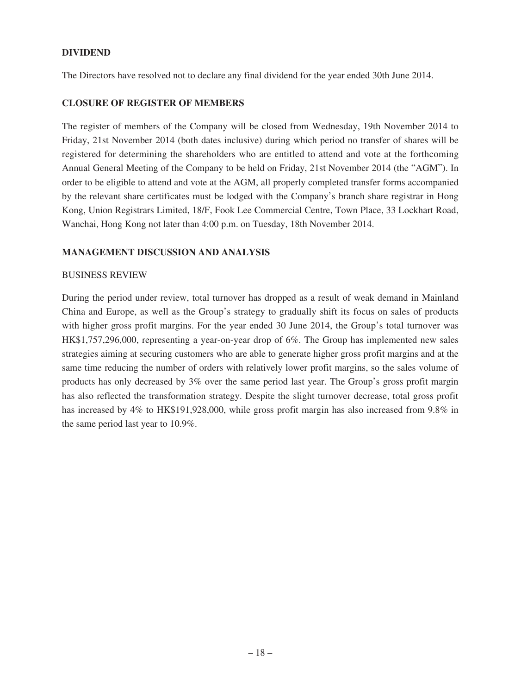### **DIVIDEND**

The Directors have resolved not to declare any final dividend for the year ended 30th June 2014.

### **CLOSURE OF REGISTER OF MEMBERS**

The register of members of the Company will be closed from Wednesday, 19th November 2014 to Friday, 21st November 2014 (both dates inclusive) during which period no transfer of shares will be registered for determining the shareholders who are entitled to attend and vote at the forthcoming Annual General Meeting of the Company to be held on Friday, 21st November 2014 (the "AGM"). In order to be eligible to attend and vote at the AGM, all properly completed transfer forms accompanied by the relevant share certificates must be lodged with the Company's branch share registrar in Hong Kong, Union Registrars Limited, 18/F, Fook Lee Commercial Centre, Town Place, 33 Lockhart Road, Wanchai, Hong Kong not later than 4:00 p.m. on Tuesday, 18th November 2014.

### **MANAGEMENT DISCUSSION AND ANALYSIS**

### BUSINESS REVIEW

During the period under review, total turnover has dropped as a result of weak demand in Mainland China and Europe, as well as the Group's strategy to gradually shift its focus on sales of products with higher gross profit margins. For the year ended 30 June 2014, the Group's total turnover was HK\$1,757,296,000, representing a year-on-year drop of 6%. The Group has implemented new sales strategies aiming at securing customers who are able to generate higher gross profit margins and at the same time reducing the number of orders with relatively lower profit margins, so the sales volume of products has only decreased by 3% over the same period last year. The Group's gross profit margin has also reflected the transformation strategy. Despite the slight turnover decrease, total gross profit has increased by 4% to HK\$191,928,000, while gross profit margin has also increased from 9.8% in the same period last year to 10.9%.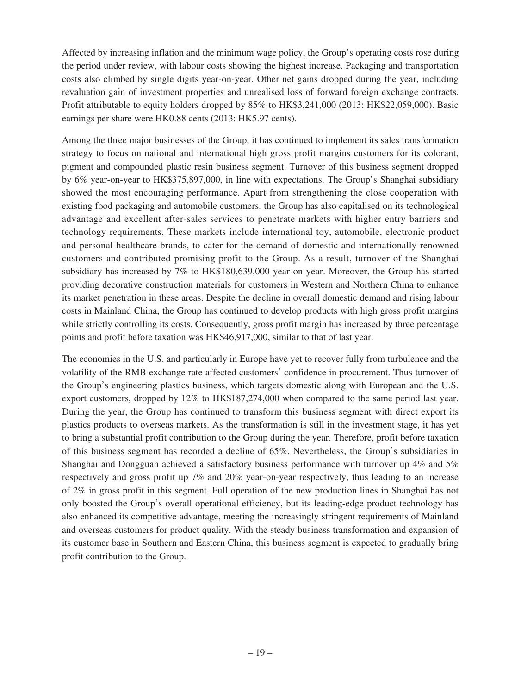Affected by increasing inflation and the minimum wage policy, the Group's operating costs rose during the period under review, with labour costs showing the highest increase. Packaging and transportation costs also climbed by single digits year-on-year. Other net gains dropped during the year, including revaluation gain of investment properties and unrealised loss of forward foreign exchange contracts. Profit attributable to equity holders dropped by 85% to HK\$3,241,000 (2013: HK\$22,059,000). Basic earnings per share were HK0.88 cents (2013: HK5.97 cents).

Among the three major businesses of the Group, it has continued to implement its sales transformation strategy to focus on national and international high gross profit margins customers for its colorant, pigment and compounded plastic resin business segment. Turnover of this business segment dropped by 6% year-on-year to HK\$375,897,000, in line with expectations. The Group's Shanghai subsidiary showed the most encouraging performance. Apart from strengthening the close cooperation with existing food packaging and automobile customers, the Group has also capitalised on its technological advantage and excellent after-sales services to penetrate markets with higher entry barriers and technology requirements. These markets include international toy, automobile, electronic product and personal healthcare brands, to cater for the demand of domestic and internationally renowned customers and contributed promising profit to the Group. As a result, turnover of the Shanghai subsidiary has increased by 7% to HK\$180,639,000 year-on-year. Moreover, the Group has started providing decorative construction materials for customers in Western and Northern China to enhance its market penetration in these areas. Despite the decline in overall domestic demand and rising labour costs in Mainland China, the Group has continued to develop products with high gross profit margins while strictly controlling its costs. Consequently, gross profit margin has increased by three percentage points and profit before taxation was HK\$46,917,000, similar to that of last year.

The economies in the U.S. and particularly in Europe have yet to recover fully from turbulence and the volatility of the RMB exchange rate affected customers' confidence in procurement. Thus turnover of the Group's engineering plastics business, which targets domestic along with European and the U.S. export customers, dropped by 12% to HK\$187,274,000 when compared to the same period last year. During the year, the Group has continued to transform this business segment with direct export its plastics products to overseas markets. As the transformation is still in the investment stage, it has yet to bring a substantial profit contribution to the Group during the year. Therefore, profit before taxation of this business segment has recorded a decline of 65%. Nevertheless, the Group's subsidiaries in Shanghai and Dongguan achieved a satisfactory business performance with turnover up 4% and 5% respectively and gross profit up 7% and 20% year-on-year respectively, thus leading to an increase of 2% in gross profit in this segment. Full operation of the new production lines in Shanghai has not only boosted the Group's overall operational efficiency, but its leading-edge product technology has also enhanced its competitive advantage, meeting the increasingly stringent requirements of Mainland and overseas customers for product quality. With the steady business transformation and expansion of its customer base in Southern and Eastern China, this business segment is expected to gradually bring profit contribution to the Group.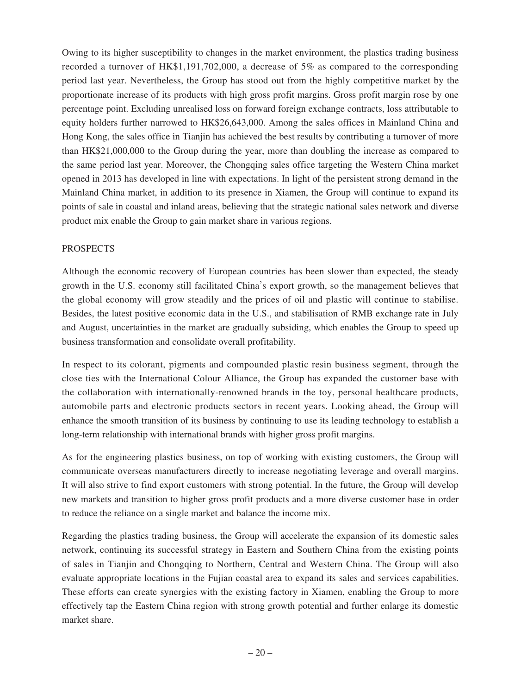Owing to its higher susceptibility to changes in the market environment, the plastics trading business recorded a turnover of HK\$1,191,702,000, a decrease of 5% as compared to the corresponding period last year. Nevertheless, the Group has stood out from the highly competitive market by the proportionate increase of its products with high gross profit margins. Gross profit margin rose by one percentage point. Excluding unrealised loss on forward foreign exchange contracts, loss attributable to equity holders further narrowed to HK\$26,643,000. Among the sales offices in Mainland China and Hong Kong, the sales office in Tianjin has achieved the best results by contributing a turnover of more than HK\$21,000,000 to the Group during the year, more than doubling the increase as compared to the same period last year. Moreover, the Chongqing sales office targeting the Western China market opened in 2013 has developed in line with expectations. In light of the persistent strong demand in the Mainland China market, in addition to its presence in Xiamen, the Group will continue to expand its points of sale in coastal and inland areas, believing that the strategic national sales network and diverse product mix enable the Group to gain market share in various regions.

### **PROSPECTS**

Although the economic recovery of European countries has been slower than expected, the steady growth in the U.S. economy still facilitated China's export growth, so the management believes that the global economy will grow steadily and the prices of oil and plastic will continue to stabilise. Besides, the latest positive economic data in the U.S., and stabilisation of RMB exchange rate in July and August, uncertainties in the market are gradually subsiding, which enables the Group to speed up business transformation and consolidate overall profitability.

In respect to its colorant, pigments and compounded plastic resin business segment, through the close ties with the International Colour Alliance, the Group has expanded the customer base with the collaboration with internationally-renowned brands in the toy, personal healthcare products, automobile parts and electronic products sectors in recent years. Looking ahead, the Group will enhance the smooth transition of its business by continuing to use its leading technology to establish a long-term relationship with international brands with higher gross profit margins.

As for the engineering plastics business, on top of working with existing customers, the Group will communicate overseas manufacturers directly to increase negotiating leverage and overall margins. It will also strive to find export customers with strong potential. In the future, the Group will develop new markets and transition to higher gross profit products and a more diverse customer base in order to reduce the reliance on a single market and balance the income mix.

Regarding the plastics trading business, the Group will accelerate the expansion of its domestic sales network, continuing its successful strategy in Eastern and Southern China from the existing points of sales in Tianjin and Chongqing to Northern, Central and Western China. The Group will also evaluate appropriate locations in the Fujian coastal area to expand its sales and services capabilities. These efforts can create synergies with the existing factory in Xiamen, enabling the Group to more effectively tap the Eastern China region with strong growth potential and further enlarge its domestic market share.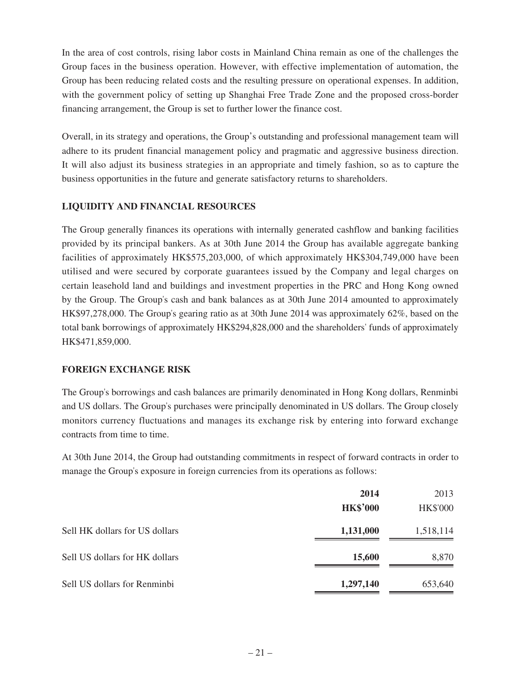In the area of cost controls, rising labor costs in Mainland China remain as one of the challenges the Group faces in the business operation. However, with effective implementation of automation, the Group has been reducing related costs and the resulting pressure on operational expenses. In addition, with the government policy of setting up Shanghai Free Trade Zone and the proposed cross-border financing arrangement, the Group is set to further lower the finance cost.

Overall, in its strategy and operations, the Group's outstanding and professional management team will adhere to its prudent financial management policy and pragmatic and aggressive business direction. It will also adjust its business strategies in an appropriate and timely fashion, so as to capture the business opportunities in the future and generate satisfactory returns to shareholders.

### **LIQUIDITY AND FINANCIAL RESOURCES**

The Group generally finances its operations with internally generated cashflow and banking facilities provided by its principal bankers. As at 30th June 2014 the Group has available aggregate banking facilities of approximately HK\$575,203,000, of which approximately HK\$304,749,000 have been utilised and were secured by corporate guarantees issued by the Company and legal charges on certain leasehold land and buildings and investment properties in the PRC and Hong Kong owned by the Group. The Group's cash and bank balances as at 30th June 2014 amounted to approximately HK\$97,278,000. The Group's gearing ratio as at 30th June 2014 was approximately 62%, based on the total bank borrowings of approximately HK\$294,828,000 and the shareholders' funds of approximately HK\$471,859,000.

### **FOREIGN EXCHANGE RISK**

The Group's borrowings and cash balances are primarily denominated in Hong Kong dollars, Renminbi and US dollars. The Group's purchases were principally denominated in US dollars. The Group closely monitors currency fluctuations and manages its exchange risk by entering into forward exchange contracts from time to time.

At 30th June 2014, the Group had outstanding commitments in respect of forward contracts in order to manage the Group's exposure in foreign currencies from its operations as follows:

|                                | 2014            | 2013            |
|--------------------------------|-----------------|-----------------|
|                                | <b>HK\$'000</b> | <b>HK\$'000</b> |
| Sell HK dollars for US dollars | 1,131,000       | 1,518,114       |
| Sell US dollars for HK dollars | 15,600          | 8,870           |
| Sell US dollars for Renminbi   | 1,297,140       | 653,640         |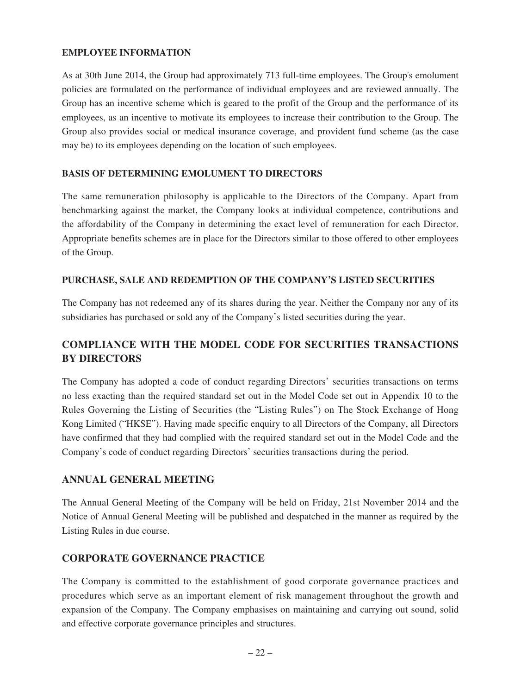## **EMPLOYEE INFORMATION**

As at 30th June 2014, the Group had approximately 713 full-time employees. The Group's emolument policies are formulated on the performance of individual employees and are reviewed annually. The Group has an incentive scheme which is geared to the profit of the Group and the performance of its employees, as an incentive to motivate its employees to increase their contribution to the Group. The Group also provides social or medical insurance coverage, and provident fund scheme (as the case may be) to its employees depending on the location of such employees.

### **BASIS OF DETERMINING EMOLUMENT TO DIRECTORS**

The same remuneration philosophy is applicable to the Directors of the Company. Apart from benchmarking against the market, the Company looks at individual competence, contributions and the affordability of the Company in determining the exact level of remuneration for each Director. Appropriate benefits schemes are in place for the Directors similar to those offered to other employees of the Group.

### **PURCHASE, SALE AND REDEMPTION OF THE COMPANY'S LISTED SECURITIES**

The Company has not redeemed any of its shares during the year. Neither the Company nor any of its subsidiaries has purchased or sold any of the Company's listed securities during the year.

# **COMPLIANCE WITH THE MODEL CODE FOR SECURITIES TRANSACTIONS BY DIRECTORS**

The Company has adopted a code of conduct regarding Directors' securities transactions on terms no less exacting than the required standard set out in the Model Code set out in Appendix 10 to the Rules Governing the Listing of Securities (the "Listing Rules") on The Stock Exchange of Hong Kong Limited ("HKSE"). Having made specific enquiry to all Directors of the Company, all Directors have confirmed that they had complied with the required standard set out in the Model Code and the Company's code of conduct regarding Directors' securities transactions during the period.

# **ANNUAL GENERAL MEETING**

The Annual General Meeting of the Company will be held on Friday, 21st November 2014 and the Notice of Annual General Meeting will be published and despatched in the manner as required by the Listing Rules in due course.

### **CORPORATE GOVERNANCE PRACTICE**

The Company is committed to the establishment of good corporate governance practices and procedures which serve as an important element of risk management throughout the growth and expansion of the Company. The Company emphasises on maintaining and carrying out sound, solid and effective corporate governance principles and structures.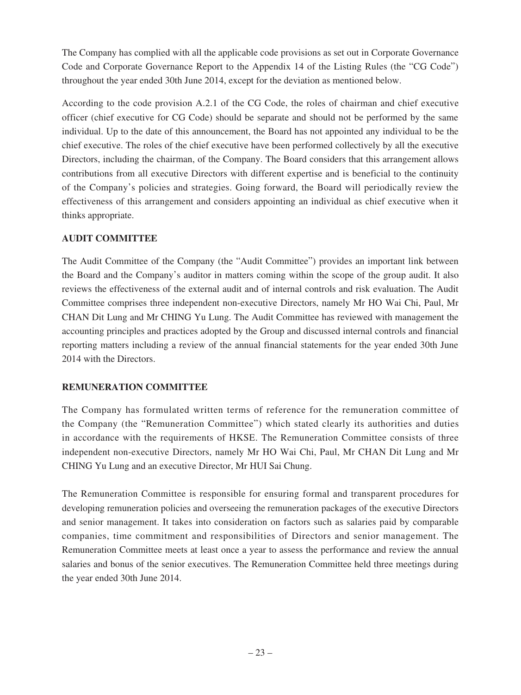The Company has complied with all the applicable code provisions as set out in Corporate Governance Code and Corporate Governance Report to the Appendix 14 of the Listing Rules (the "CG Code") throughout the year ended 30th June 2014, except for the deviation as mentioned below.

According to the code provision A.2.1 of the CG Code, the roles of chairman and chief executive officer (chief executive for CG Code) should be separate and should not be performed by the same individual. Up to the date of this announcement, the Board has not appointed any individual to be the chief executive. The roles of the chief executive have been performed collectively by all the executive Directors, including the chairman, of the Company. The Board considers that this arrangement allows contributions from all executive Directors with different expertise and is beneficial to the continuity of the Company's policies and strategies. Going forward, the Board will periodically review the effectiveness of this arrangement and considers appointing an individual as chief executive when it thinks appropriate.

# **AUDIT COMMITTEE**

The Audit Committee of the Company (the "Audit Committee") provides an important link between the Board and the Company's auditor in matters coming within the scope of the group audit. It also reviews the effectiveness of the external audit and of internal controls and risk evaluation. The Audit Committee comprises three independent non-executive Directors, namely Mr HO Wai Chi, Paul, Mr CHAN Dit Lung and Mr CHING Yu Lung. The Audit Committee has reviewed with management the accounting principles and practices adopted by the Group and discussed internal controls and financial reporting matters including a review of the annual financial statements for the year ended 30th June 2014 with the Directors.

# **REMUNERATION COMMITTEE**

The Company has formulated written terms of reference for the remuneration committee of the Company (the "Remuneration Committee") which stated clearly its authorities and duties in accordance with the requirements of HKSE. The Remuneration Committee consists of three independent non-executive Directors, namely Mr HO Wai Chi, Paul, Mr CHAN Dit Lung and Mr CHING Yu Lung and an executive Director, Mr HUI Sai Chung.

The Remuneration Committee is responsible for ensuring formal and transparent procedures for developing remuneration policies and overseeing the remuneration packages of the executive Directors and senior management. It takes into consideration on factors such as salaries paid by comparable companies, time commitment and responsibilities of Directors and senior management. The Remuneration Committee meets at least once a year to assess the performance and review the annual salaries and bonus of the senior executives. The Remuneration Committee held three meetings during the year ended 30th June 2014.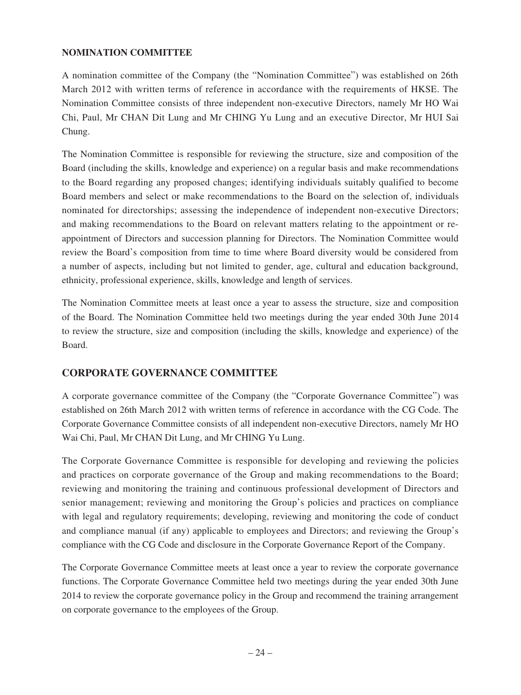## **NOMINATION COMMITTEE**

A nomination committee of the Company (the "Nomination Committee") was established on 26th March 2012 with written terms of reference in accordance with the requirements of HKSE. The Nomination Committee consists of three independent non-executive Directors, namely Mr HO Wai Chi, Paul, Mr CHAN Dit Lung and Mr CHING Yu Lung and an executive Director, Mr HUI Sai Chung.

The Nomination Committee is responsible for reviewing the structure, size and composition of the Board (including the skills, knowledge and experience) on a regular basis and make recommendations to the Board regarding any proposed changes; identifying individuals suitably qualified to become Board members and select or make recommendations to the Board on the selection of, individuals nominated for directorships; assessing the independence of independent non-executive Directors; and making recommendations to the Board on relevant matters relating to the appointment or reappointment of Directors and succession planning for Directors. The Nomination Committee would review the Board's composition from time to time where Board diversity would be considered from a number of aspects, including but not limited to gender, age, cultural and education background, ethnicity, professional experience, skills, knowledge and length of services.

The Nomination Committee meets at least once a year to assess the structure, size and composition of the Board. The Nomination Committee held two meetings during the year ended 30th June 2014 to review the structure, size and composition (including the skills, knowledge and experience) of the Board.

# **CORPORATE GOVERNANCE COMMITTEE**

A corporate governance committee of the Company (the "Corporate Governance Committee") was established on 26th March 2012 with written terms of reference in accordance with the CG Code. The Corporate Governance Committee consists of all independent non-executive Directors, namely Mr HO Wai Chi, Paul, Mr CHAN Dit Lung, and Mr CHING Yu Lung.

The Corporate Governance Committee is responsible for developing and reviewing the policies and practices on corporate governance of the Group and making recommendations to the Board; reviewing and monitoring the training and continuous professional development of Directors and senior management; reviewing and monitoring the Group's policies and practices on compliance with legal and regulatory requirements; developing, reviewing and monitoring the code of conduct and compliance manual (if any) applicable to employees and Directors; and reviewing the Group's compliance with the CG Code and disclosure in the Corporate Governance Report of the Company.

The Corporate Governance Committee meets at least once a year to review the corporate governance functions. The Corporate Governance Committee held two meetings during the year ended 30th June 2014 to review the corporate governance policy in the Group and recommend the training arrangement on corporate governance to the employees of the Group.